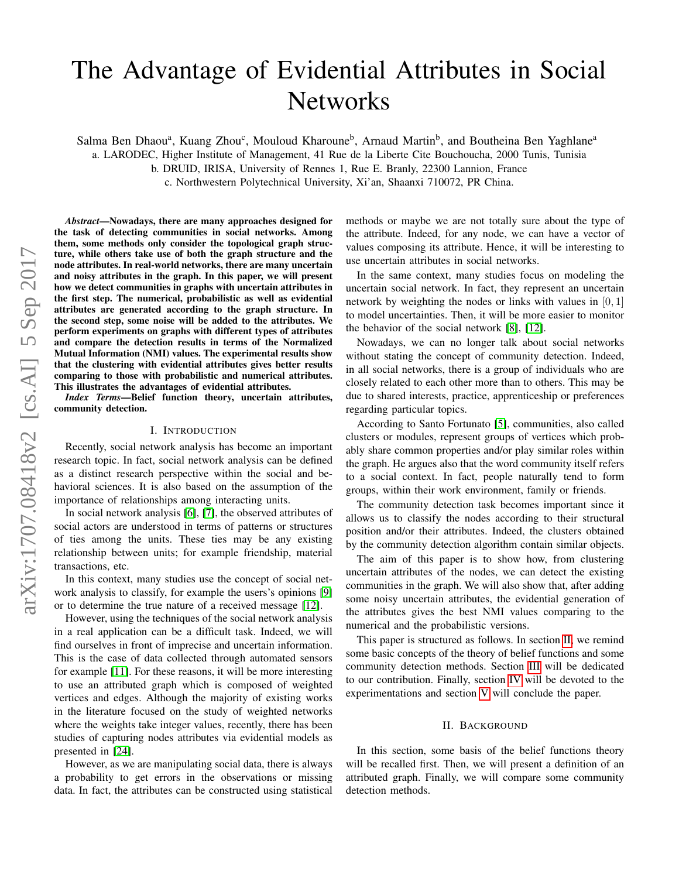# The Advantage of Evidential Attributes in Social **Networks**

Salma Ben Dhaou<sup>a</sup>, Kuang Zhou<sup>c</sup>, Mouloud Kharoune<sup>b</sup>, Arnaud Martin<sup>b</sup>, and Boutheina Ben Yaghlane<sup>a</sup>

a. LARODEC, Higher Institute of Management, 41 Rue de la Liberte Cite Bouchoucha, 2000 Tunis, Tunisia

b. DRUID, IRISA, University of Rennes 1, Rue E. Branly, 22300 Lannion, France

c. Northwestern Polytechnical University, Xi'an, Shaanxi 710072, PR China.

*Abstract*—Nowadays, there are many approaches designed for the task of detecting communities in social networks. Among them, some methods only consider the topological graph structure, while others take use of both the graph structure and the node attributes. In real-world networks, there are many uncertain and noisy attributes in the graph. In this paper, we will present how we detect communities in graphs with uncertain attributes in the first step. The numerical, probabilistic as well as evidential attributes are generated according to the graph structure. In the second step, some noise will be added to the attributes. We perform experiments on graphs with different types of attributes and compare the detection results in terms of the Normalized Mutual Information (NMI) values. The experimental results show that the clustering with evidential attributes gives better results comparing to those with probabilistic and numerical attributes. This illustrates the advantages of evidential attributes.

*Index Terms*—Belief function theory, uncertain attributes, community detection.

#### I. INTRODUCTION

Recently, social network analysis has become an important research topic. In fact, social network analysis can be defined as a distinct research perspective within the social and behavioral sciences. It is also based on the assumption of the importance of relationships among interacting units.

In social network analysis [\[6\]](#page-7-0), [\[7\]](#page-7-1), the observed attributes of social actors are understood in terms of patterns or structures of ties among the units. These ties may be any existing relationship between units; for example friendship, material transactions, etc.

In this context, many studies use the concept of social network analysis to classify, for example the users's opinions [\[9\]](#page-7-2) or to determine the true nature of a received message [\[12\]](#page-7-3).

However, using the techniques of the social network analysis in a real application can be a difficult task. Indeed, we will find ourselves in front of imprecise and uncertain information. This is the case of data collected through automated sensors for example [\[11\]](#page-7-4). For these reasons, it will be more interesting to use an attributed graph which is composed of weighted vertices and edges. Although the majority of existing works in the literature focused on the study of weighted networks where the weights take integer values, recently, there has been studies of capturing nodes attributes via evidential models as presented in [\[24\]](#page-7-5).

However, as we are manipulating social data, there is always a probability to get errors in the observations or missing data. In fact, the attributes can be constructed using statistical methods or maybe we are not totally sure about the type of the attribute. Indeed, for any node, we can have a vector of values composing its attribute. Hence, it will be interesting to use uncertain attributes in social networks.

In the same context, many studies focus on modeling the uncertain social network. In fact, they represent an uncertain network by weighting the nodes or links with values in [0, 1] to model uncertainties. Then, it will be more easier to monitor the behavior of the social network [\[8\]](#page-7-6), [\[12\]](#page-7-3).

Nowadays, we can no longer talk about social networks without stating the concept of community detection. Indeed, in all social networks, there is a group of individuals who are closely related to each other more than to others. This may be due to shared interests, practice, apprenticeship or preferences regarding particular topics.

According to Santo Fortunato [\[5\]](#page-7-7), communities, also called clusters or modules, represent groups of vertices which probably share common properties and/or play similar roles within the graph. He argues also that the word community itself refers to a social context. In fact, people naturally tend to form groups, within their work environment, family or friends.

The community detection task becomes important since it allows us to classify the nodes according to their structural position and/or their attributes. Indeed, the clusters obtained by the community detection algorithm contain similar objects.

The aim of this paper is to show how, from clustering uncertain attributes of the nodes, we can detect the existing communities in the graph. We will also show that, after adding some noisy uncertain attributes, the evidential generation of the attributes gives the best NMI values comparing to the numerical and the probabilistic versions.

This paper is structured as follows. In section [II,](#page-0-0) we remind some basic concepts of the theory of belief functions and some community detection methods. Section [III](#page-1-0) will be dedicated to our contribution. Finally, section [IV](#page-3-0) will be devoted to the experimentations and section [V](#page-7-8) will conclude the paper.

#### II. BACKGROUND

<span id="page-0-0"></span>In this section, some basis of the belief functions theory will be recalled first. Then, we will present a definition of an attributed graph. Finally, we will compare some community detection methods.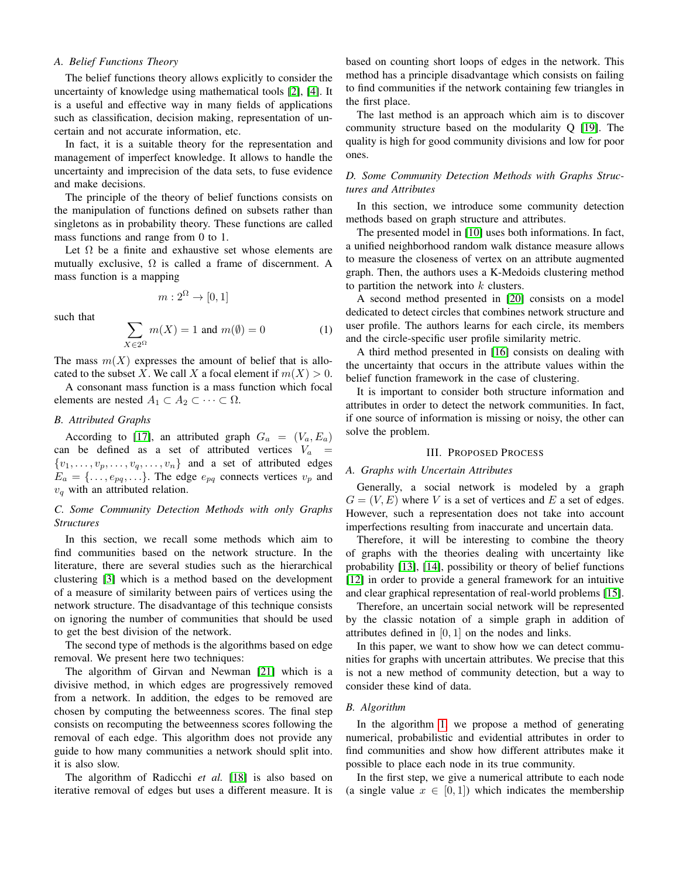## *A. Belief Functions Theory*

The belief functions theory allows explicitly to consider the uncertainty of knowledge using mathematical tools [\[2\]](#page-7-9), [\[4\]](#page-7-10). It is a useful and effective way in many fields of applications such as classification, decision making, representation of uncertain and not accurate information, etc.

In fact, it is a suitable theory for the representation and management of imperfect knowledge. It allows to handle the uncertainty and imprecision of the data sets, to fuse evidence and make decisions.

The principle of the theory of belief functions consists on the manipulation of functions defined on subsets rather than singletons as in probability theory. These functions are called mass functions and range from 0 to 1.

Let  $\Omega$  be a finite and exhaustive set whose elements are mutually exclusive,  $\Omega$  is called a frame of discernment. A mass function is a mapping

$$
m: 2^{\Omega} \to [0,1]
$$

such that

$$
\sum_{X \in 2^{\Omega}} m(X) = 1 \text{ and } m(\emptyset) = 0 \tag{1}
$$

The mass  $m(X)$  expresses the amount of belief that is allocated to the subset X. We call X a focal element if  $m(X) > 0$ .

A consonant mass function is a mass function which focal elements are nested  $A_1 \subset A_2 \subset \cdots \subset \Omega$ .

# *B. Attributed Graphs*

According to [\[17\]](#page-7-11), an attributed graph  $G_a = (V_a, E_a)$ can be defined as a set of attributed vertices  $V_a$  =  $\{v_1, \ldots, v_p, \ldots, v_q, \ldots, v_n\}$  and a set of attributed edges  $E_a = \{ \ldots, e_{pq}, \ldots \}.$  The edge  $e_{pq}$  connects vertices  $v_p$  and  $v_q$  with an attributed relation.

# *C. Some Community Detection Methods with only Graphs Structures*

In this section, we recall some methods which aim to find communities based on the network structure. In the literature, there are several studies such as the hierarchical clustering [\[3\]](#page-7-12) which is a method based on the development of a measure of similarity between pairs of vertices using the network structure. The disadvantage of this technique consists on ignoring the number of communities that should be used to get the best division of the network.

The second type of methods is the algorithms based on edge removal. We present here two techniques:

The algorithm of Girvan and Newman [\[21\]](#page-7-13) which is a divisive method, in which edges are progressively removed from a network. In addition, the edges to be removed are chosen by computing the betweenness scores. The final step consists on recomputing the betweenness scores following the removal of each edge. This algorithm does not provide any guide to how many communities a network should split into. it is also slow.

The algorithm of Radicchi *et al.* [\[18\]](#page-7-14) is also based on iterative removal of edges but uses a different measure. It is based on counting short loops of edges in the network. This method has a principle disadvantage which consists on failing to find communities if the network containing few triangles in the first place.

The last method is an approach which aim is to discover community structure based on the modularity Q [\[19\]](#page-7-15). The quality is high for good community divisions and low for poor ones.

## *D. Some Community Detection Methods with Graphs Structures and Attributes*

In this section, we introduce some community detection methods based on graph structure and attributes.

The presented model in [\[10\]](#page-7-16) uses both informations. In fact, a unified neighborhood random walk distance measure allows to measure the closeness of vertex on an attribute augmented graph. Then, the authors uses a K-Medoids clustering method to partition the network into  $k$  clusters.

A second method presented in [\[20\]](#page-7-17) consists on a model dedicated to detect circles that combines network structure and user profile. The authors learns for each circle, its members and the circle-specific user profile similarity metric.

A third method presented in [\[16\]](#page-7-18) consists on dealing with the uncertainty that occurs in the attribute values within the belief function framework in the case of clustering.

It is important to consider both structure information and attributes in order to detect the network communities. In fact, if one source of information is missing or noisy, the other can solve the problem.

#### III. PROPOSED PROCESS

#### <span id="page-1-0"></span>*A. Graphs with Uncertain Attributes*

Generally, a social network is modeled by a graph  $G = (V, E)$  where V is a set of vertices and E a set of edges. However, such a representation does not take into account imperfections resulting from inaccurate and uncertain data.

Therefore, it will be interesting to combine the theory of graphs with the theories dealing with uncertainty like probability [\[13\]](#page-7-19), [\[14\]](#page-7-20), possibility or theory of belief functions [\[12\]](#page-7-3) in order to provide a general framework for an intuitive and clear graphical representation of real-world problems [\[15\]](#page-7-21).

Therefore, an uncertain social network will be represented by the classic notation of a simple graph in addition of attributes defined in  $[0, 1]$  on the nodes and links.

In this paper, we want to show how we can detect communities for graphs with uncertain attributes. We precise that this is not a new method of community detection, but a way to consider these kind of data.

#### *B. Algorithm*

In the algorithm [1,](#page-2-0) we propose a method of generating numerical, probabilistic and evidential attributes in order to find communities and show how different attributes make it possible to place each node in its true community.

In the first step, we give a numerical attribute to each node (a single value  $x \in [0, 1]$ ) which indicates the membership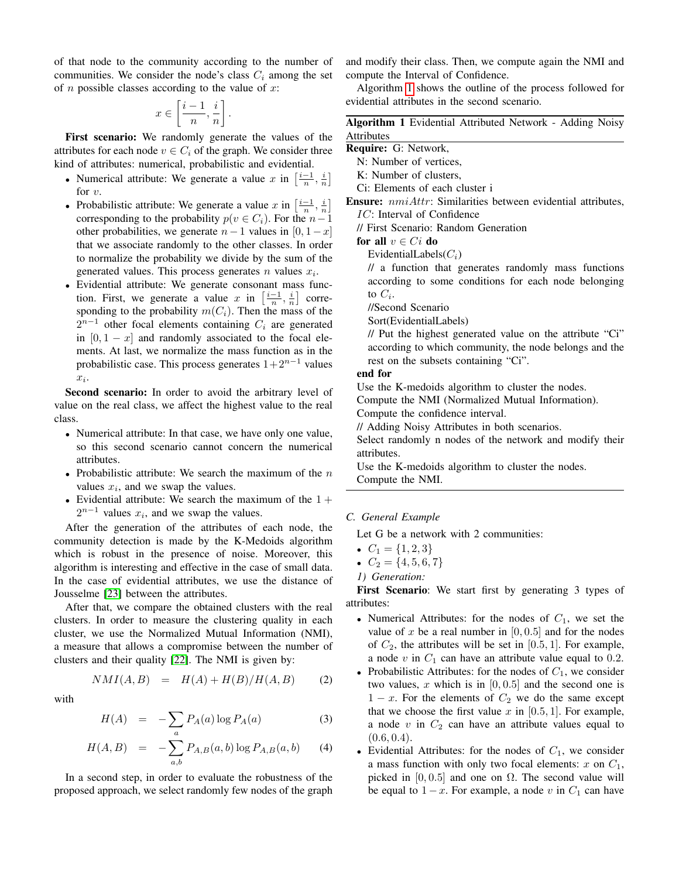of that node to the community according to the number of communities. We consider the node's class  $C_i$  among the set of *n* possible classes according to the value of  $x$ :

$$
x \in \left[\frac{i-1}{n}, \frac{i}{n}\right].
$$

First scenario: We randomly generate the values of the attributes for each node  $v \in C_i$  of the graph. We consider three kind of attributes: numerical, probabilistic and evidential.

- Numerical attribute: We generate a value x in  $\left[\frac{i-1}{n}, \frac{i}{n}\right]$ for  $v$ .
- Probabilistic attribute: We generate a value x in  $\left[\frac{i-1}{n}, \frac{i}{n}\right]$ corresponding to the probability  $p(v \in C_i)$ . For the  $n-1$ other probabilities, we generate  $n-1$  values in [0, 1 − x] that we associate randomly to the other classes. In order to normalize the probability we divide by the sum of the generated values. This process generates  $n$  values  $x_i$ .
- Evidential attribute: We generate consonant mass function. First, we generate a value x in  $\left[\frac{i-1}{n},\frac{i}{n}\right]$  corresponding to the probability  $m(C_i)$ . Then the mass of the  $2^{n-1}$  other focal elements containing  $C_i$  are generated in  $[0, 1 - x]$  and randomly associated to the focal elements. At last, we normalize the mass function as in the probabilistic case. This process generates  $1+2^{n-1}$  values  $x_i$ .

Second scenario: In order to avoid the arbitrary level of value on the real class, we affect the highest value to the real class.

- Numerical attribute: In that case, we have only one value, so this second scenario cannot concern the numerical attributes.
- Probabilistic attribute: We search the maximum of the  $n$ values  $x_i$ , and we swap the values.
- Evidential attribute: We search the maximum of the  $1 +$  $2^{n-1}$  values  $x_i$ , and we swap the values.

After the generation of the attributes of each node, the community detection is made by the K-Medoids algorithm which is robust in the presence of noise. Moreover, this algorithm is interesting and effective in the case of small data. In the case of evidential attributes, we use the distance of Jousselme [\[23\]](#page-7-22) between the attributes.

After that, we compare the obtained clusters with the real clusters. In order to measure the clustering quality in each cluster, we use the Normalized Mutual Information (NMI), a measure that allows a compromise between the number of clusters and their quality [\[22\]](#page-7-23). The NMI is given by:

$$
NMI(A,B) = H(A) + H(B)/H(A,B) \qquad (2)
$$

with

$$
H(A) = -\sum_{a} P_A(a) \log P_A(a) \tag{3}
$$

$$
H(A, B) = -\sum_{a,b} P_{A,B}(a, b) \log P_{A,B}(a, b)
$$
 (4)

In a second step, in order to evaluate the robustness of the proposed approach, we select randomly few nodes of the graph and modify their class. Then, we compute again the NMI and compute the Interval of Confidence.

Algorithm [1](#page-2-0) shows the outline of the process followed for evidential attributes in the second scenario.

| Algorithm 1 Evidential Attributed Network - Adding Noisy |  |  |  |  |
|----------------------------------------------------------|--|--|--|--|
| Attributes                                               |  |  |  |  |

Require: G: Network,

- N: Number of vertices,
- K: Number of clusters,
- Ci: Elements of each cluster i
- Ensure: nmiAttr: Similarities between evidential attributes, IC: Interval of Confidence
	- // First Scenario: Random Generation

for all  $v \in Ci$  do

EvidentialLabels $(C_i)$ 

// a function that generates randomly mass functions according to some conditions for each node belonging to  $C_i$ .

//Second Scenario

Sort(EvidentialLabels)

// Put the highest generated value on the attribute "Ci" according to which community, the node belongs and the rest on the subsets containing "Ci".

#### end for

Use the K-medoids algorithm to cluster the nodes.

Compute the NMI (Normalized Mutual Information).

Compute the confidence interval.

// Adding Noisy Attributes in both scenarios.

Select randomly n nodes of the network and modify their attributes.

<span id="page-2-0"></span>Use the K-medoids algorithm to cluster the nodes. Compute the NMI.

## *C. General Example*

Let G be a network with 2 communities:

- $C_1 = \{1, 2, 3\}$
- $C_2 = \{4, 5, 6, 7\}$
- *1) Generation:*

First Scenario: We start first by generating 3 types of attributes:

- Numerical Attributes: for the nodes of  $C_1$ , we set the value of x be a real number in  $[0, 0.5]$  and for the nodes of  $C_2$ , the attributes will be set in [0.5, 1]. For example, a node  $v$  in  $C_1$  can have an attribute value equal to 0.2.
- Probabilistic Attributes: for the nodes of  $C_1$ , we consider two values, x which is in  $[0, 0.5]$  and the second one is  $1 - x$ . For the elements of  $C_2$  we do the same except that we choose the first value  $x$  in [0.5, 1]. For example, a node  $v$  in  $C_2$  can have an attribute values equal to  $(0.6, 0.4).$
- Evidential Attributes: for the nodes of  $C_1$ , we consider a mass function with only two focal elements: x on  $C_1$ , picked in [0, 0.5] and one on  $\Omega$ . The second value will be equal to  $1 - x$ . For example, a node v in  $C_1$  can have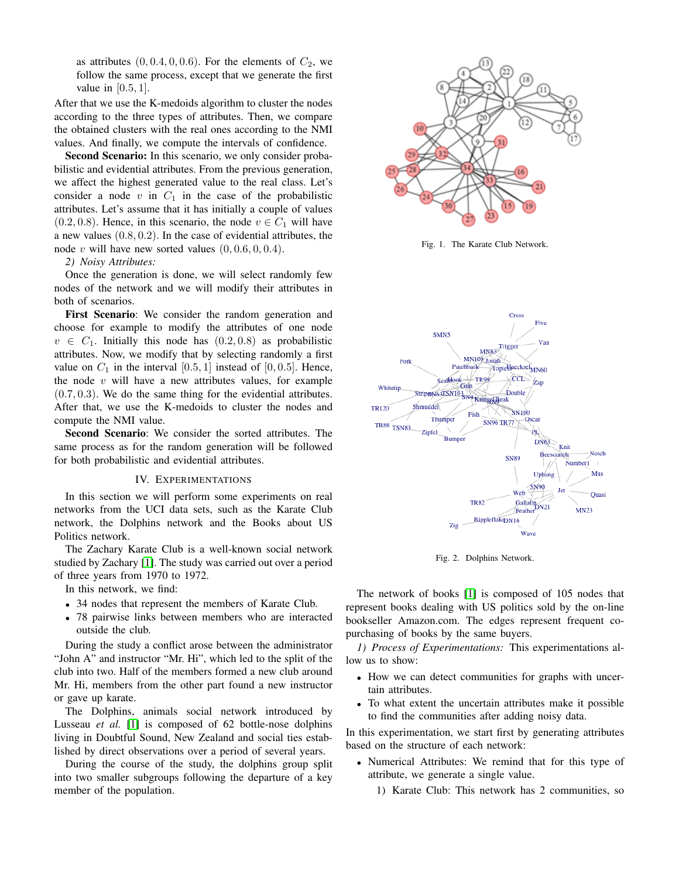as attributes  $(0, 0.4, 0, 0.6)$ . For the elements of  $C_2$ , we follow the same process, except that we generate the first value in [0.5, 1].

After that we use the K-medoids algorithm to cluster the nodes according to the three types of attributes. Then, we compare the obtained clusters with the real ones according to the NMI values. And finally, we compute the intervals of confidence.

Second Scenario: In this scenario, we only consider probabilistic and evidential attributes. From the previous generation, we affect the highest generated value to the real class. Let's consider a node  $v$  in  $C_1$  in the case of the probabilistic attributes. Let's assume that it has initially a couple of values (0.2, 0.8). Hence, in this scenario, the node  $v \in C_1$  will have a new values (0.8, 0.2). In the case of evidential attributes, the node v will have new sorted values  $(0, 0.6, 0, 0.4)$ .

#### *2) Noisy Attributes:*

Once the generation is done, we will select randomly few nodes of the network and we will modify their attributes in both of scenarios.

First Scenario: We consider the random generation and choose for example to modify the attributes of one node  $v \in C_1$ . Initially this node has  $(0.2, 0.8)$  as probabilistic attributes. Now, we modify that by selecting randomly a first value on  $C_1$  in the interval [0.5, 1] instead of [0, 0.5]. Hence, the node  $v$  will have a new attributes values, for example  $(0.7, 0.3)$ . We do the same thing for the evidential attributes. After that, we use the K-medoids to cluster the nodes and compute the NMI value.

Second Scenario: We consider the sorted attributes. The same process as for the random generation will be followed for both probabilistic and evidential attributes.

#### IV. EXPERIMENTATIONS

<span id="page-3-0"></span>In this section we will perform some experiments on real networks from the UCI data sets, such as the Karate Club network, the Dolphins network and the Books about US Politics network.

The Zachary Karate Club is a well-known social network studied by Zachary [\[1\]](#page-7-24). The study was carried out over a period of three years from 1970 to 1972.

In this network, we find:

- 34 nodes that represent the members of Karate Club.
- 78 pairwise links between members who are interacted outside the club.

During the study a conflict arose between the administrator "John A" and instructor "Mr. Hi", which led to the split of the club into two. Half of the members formed a new club around Mr. Hi, members from the other part found a new instructor or gave up karate.

The Dolphins, animals social network introduced by Lusseau *et al.* [\[1\]](#page-7-24) is composed of 62 bottle-nose dolphins living in Doubtful Sound, New Zealand and social ties established by direct observations over a period of several years.

During the course of the study, the dolphins group split into two smaller subgroups following the departure of a key member of the population.



Fig. 1. The Karate Club Network.



Fig. 2. Dolphins Network.

The network of books [\[1\]](#page-7-24) is composed of 105 nodes that represent books dealing with US politics sold by the on-line bookseller Amazon.com. The edges represent frequent copurchasing of books by the same buyers.

*1) Process of Experimentations:* This experimentations allow us to show:

- How we can detect communities for graphs with uncertain attributes.
- To what extent the uncertain attributes make it possible to find the communities after adding noisy data.

In this experimentation, we start first by generating attributes based on the structure of each network:

- Numerical Attributes: We remind that for this type of attribute, we generate a single value.
	- 1) Karate Club: This network has 2 communities, so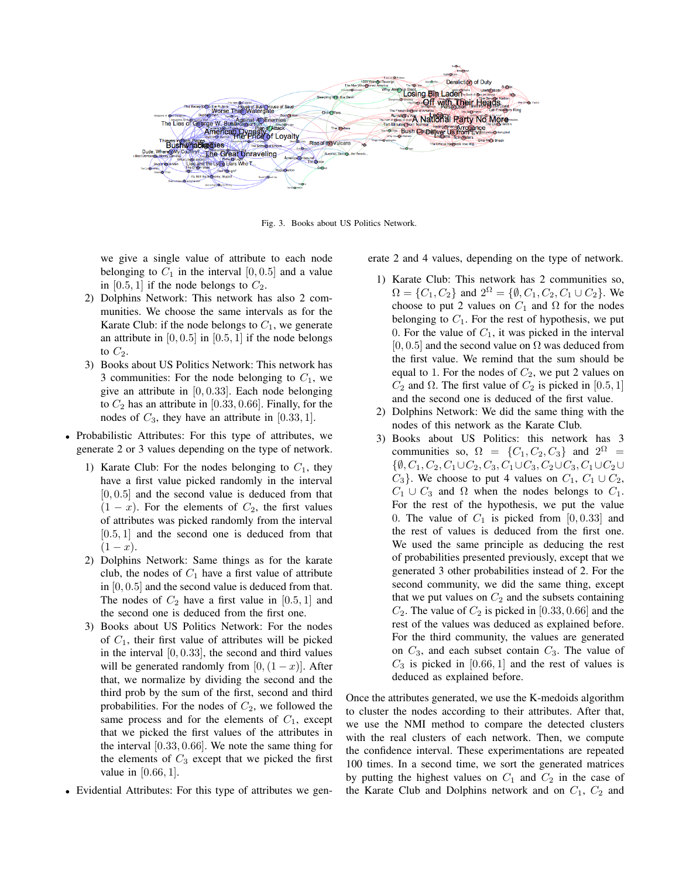

Fig. 3. Books about US Politics Network.

we give a single value of attribute to each node belonging to  $C_1$  in the interval [0, 0.5] and a value in [0.5, 1] if the node belongs to  $C_2$ .

- 2) Dolphins Network: This network has also 2 communities. We choose the same intervals as for the Karate Club: if the node belongs to  $C_1$ , we generate an attribute in  $[0, 0.5]$  in  $[0.5, 1]$  if the node belongs to  $C_2$ .
- 3) Books about US Politics Network: This network has 3 communities: For the node belonging to  $C_1$ , we give an attribute in  $[0, 0.33]$ . Each node belonging to  $C_2$  has an attribute in [0.33, 0.66]. Finally, for the nodes of  $C_3$ , they have an attribute in [0.33, 1].
- Probabilistic Attributes: For this type of attributes, we generate 2 or 3 values depending on the type of network.
	- 1) Karate Club: For the nodes belonging to  $C_1$ , they have a first value picked randomly in the interval  $[0, 0.5]$  and the second value is deduced from that  $(1 - x)$ . For the elements of  $C_2$ , the first values of attributes was picked randomly from the interval [0.5, 1] and the second one is deduced from that  $(1 - x).$
	- 2) Dolphins Network: Same things as for the karate club, the nodes of  $C_1$  have a first value of attribute in [0, 0.5] and the second value is deduced from that. The nodes of  $C_2$  have a first value in [0.5, 1] and the second one is deduced from the first one.
	- 3) Books about US Politics Network: For the nodes of  $C_1$ , their first value of attributes will be picked in the interval  $[0, 0.33]$ , the second and third values will be generated randomly from  $[0,(1-x)]$ . After that, we normalize by dividing the second and the third prob by the sum of the first, second and third probabilities. For the nodes of  $C_2$ , we followed the same process and for the elements of  $C_1$ , except that we picked the first values of the attributes in the interval [0.33, 0.66]. We note the same thing for the elements of  $C_3$  except that we picked the first value in  $[0.66, 1]$ .
- Evidential Attributes: For this type of attributes we gen-

erate 2 and 4 values, depending on the type of network.

- 1) Karate Club: This network has 2 communities so,  $\Omega = \{C_1, C_2\}$  and  $2^{\Omega} = \{\emptyset, C_1, C_2, C_1 \cup C_2\}$ . We choose to put 2 values on  $C_1$  and  $\Omega$  for the nodes belonging to  $C_1$ . For the rest of hypothesis, we put 0. For the value of  $C_1$ , it was picked in the interval  $[0, 0.5]$  and the second value on  $\Omega$  was deduced from the first value. We remind that the sum should be equal to 1. For the nodes of  $C_2$ , we put 2 values on  $C_2$  and  $\Omega$ . The first value of  $C_2$  is picked in [0.5, 1] and the second one is deduced of the first value.
- 2) Dolphins Network: We did the same thing with the nodes of this network as the Karate Club.
- 3) Books about US Politics: this network has 3 communities so,  $\Omega = \{C_1, C_2, C_3\}$  and  $2^{\Omega}$  =  $\{\emptyset, C_1, C_2, C_1 \cup C_2, C_3, C_1 \cup C_3, C_2 \cup C_3, C_1 \cup C_2 \cup$  $C_3$ . We choose to put 4 values on  $C_1$ ,  $C_1 \cup C_2$ ,  $C_1 \cup C_3$  and  $\Omega$  when the nodes belongs to  $C_1$ . For the rest of the hypothesis, we put the value 0. The value of  $C_1$  is picked from [0, 0.33] and the rest of values is deduced from the first one. We used the same principle as deducing the rest of probabilities presented previously, except that we generated 3 other probabilities instead of 2. For the second community, we did the same thing, except that we put values on  $C_2$  and the subsets containing  $C_2$ . The value of  $C_2$  is picked in [0.33, 0.66] and the rest of the values was deduced as explained before. For the third community, the values are generated on  $C_3$ , and each subset contain  $C_3$ . The value of  $C_3$  is picked in [0.66, 1] and the rest of values is deduced as explained before.

Once the attributes generated, we use the K-medoids algorithm to cluster the nodes according to their attributes. After that, we use the NMI method to compare the detected clusters with the real clusters of each network. Then, we compute the confidence interval. These experimentations are repeated 100 times. In a second time, we sort the generated matrices by putting the highest values on  $C_1$  and  $C_2$  in the case of the Karate Club and Dolphins network and on  $C_1$ ,  $C_2$  and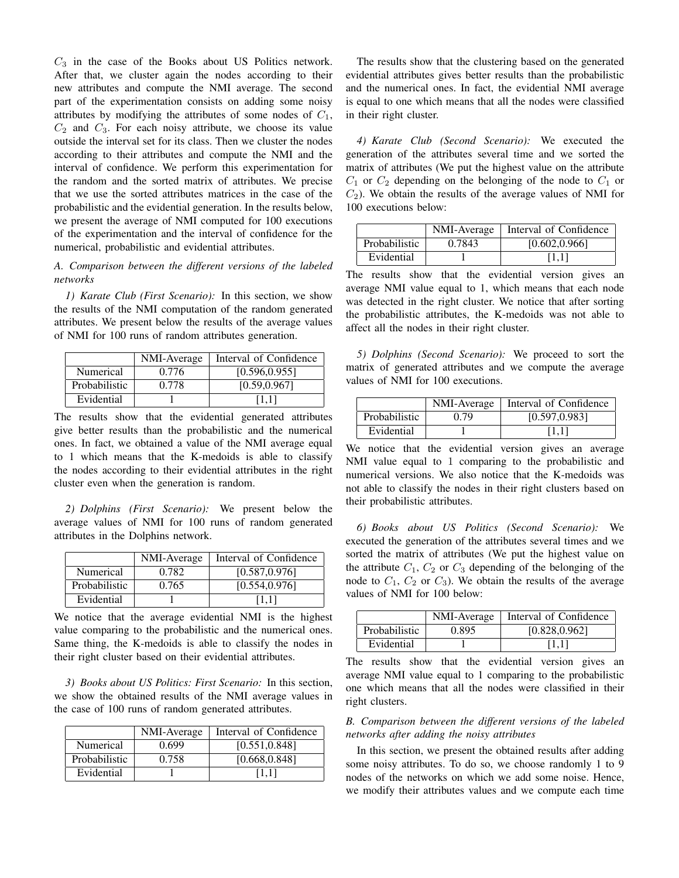$C_3$  in the case of the Books about US Politics network. After that, we cluster again the nodes according to their new attributes and compute the NMI average. The second part of the experimentation consists on adding some noisy attributes by modifying the attributes of some nodes of  $C_1$ ,  $C_2$  and  $C_3$ . For each noisy attribute, we choose its value outside the interval set for its class. Then we cluster the nodes according to their attributes and compute the NMI and the interval of confidence. We perform this experimentation for the random and the sorted matrix of attributes. We precise that we use the sorted attributes matrices in the case of the probabilistic and the evidential generation. In the results below, we present the average of NMI computed for 100 executions of the experimentation and the interval of confidence for the numerical, probabilistic and evidential attributes.

## *A. Comparison between the different versions of the labeled networks*

*1) Karate Club (First Scenario):* In this section, we show the results of the NMI computation of the random generated attributes. We present below the results of the average values of NMI for 100 runs of random attributes generation.

|                  | NMI-Average | Interval of Confidence |
|------------------|-------------|------------------------|
| <b>Numerical</b> | 0.776       | [0.596, 0.955]         |
| Probabilistic    | 0.778       | [0.59, 0.967]          |
| Evidential       |             | [1.1]                  |

The results show that the evidential generated attributes give better results than the probabilistic and the numerical ones. In fact, we obtained a value of the NMI average equal to 1 which means that the K-medoids is able to classify the nodes according to their evidential attributes in the right cluster even when the generation is random.

*2) Dolphins (First Scenario):* We present below the average values of NMI for 100 runs of random generated attributes in the Dolphins network.

|               | NMI-Average | Interval of Confidence |
|---------------|-------------|------------------------|
| Numerical     | 0.782       | [0.587, 0.976]         |
| Probabilistic | 0.765       | [0.554, 0.976]         |
| Evidential    |             | [1.1]                  |

We notice that the average evidential NMI is the highest value comparing to the probabilistic and the numerical ones. Same thing, the K-medoids is able to classify the nodes in their right cluster based on their evidential attributes.

*3) Books about US Politics: First Scenario:* In this section, we show the obtained results of the NMI average values in the case of 100 runs of random generated attributes.

|               | NMI-Average | Interval of Confidence |
|---------------|-------------|------------------------|
| Numerical     | 0.699       | [0.551, 0.848]         |
| Probabilistic | 0.758       | [0.668, 0.848]         |
| Evidential    |             | [1.1]                  |

The results show that the clustering based on the generated evidential attributes gives better results than the probabilistic and the numerical ones. In fact, the evidential NMI average is equal to one which means that all the nodes were classified in their right cluster.

*4) Karate Club (Second Scenario):* We executed the generation of the attributes several time and we sorted the matrix of attributes (We put the highest value on the attribute  $C_1$  or  $C_2$  depending on the belonging of the node to  $C_1$  or  $C_2$ ). We obtain the results of the average values of NMI for 100 executions below:

|               | NMI-Average | Interval of Confidence |
|---------------|-------------|------------------------|
| Probabilistic | 0.7843      | [0.602, 0.966]         |
| Evidential    |             | 11.11                  |

The results show that the evidential version gives an average NMI value equal to 1, which means that each node was detected in the right cluster. We notice that after sorting the probabilistic attributes, the K-medoids was not able to affect all the nodes in their right cluster.

*5) Dolphins (Second Scenario):* We proceed to sort the matrix of generated attributes and we compute the average values of NMI for 100 executions.

|               | NMI-Average | Interval of Confidence |
|---------------|-------------|------------------------|
| Probabilistic | 0.79        | [0.597, 0.983]         |
| Evidential    |             | [1.1]                  |

We notice that the evidential version gives an average NMI value equal to 1 comparing to the probabilistic and numerical versions. We also notice that the K-medoids was not able to classify the nodes in their right clusters based on their probabilistic attributes.

*6) Books about US Politics (Second Scenario):* We executed the generation of the attributes several times and we sorted the matrix of attributes (We put the highest value on the attribute  $C_1$ ,  $C_2$  or  $C_3$  depending of the belonging of the node to  $C_1$ ,  $C_2$  or  $C_3$ ). We obtain the results of the average values of NMI for 100 below:

|               | NMI-Average | Interval of Confidence |
|---------------|-------------|------------------------|
| Probabilistic | 0.895       | [0.828, 0.962]         |
| Evidential    |             | [1.1]                  |

The results show that the evidential version gives an average NMI value equal to 1 comparing to the probabilistic one which means that all the nodes were classified in their right clusters.

## *B. Comparison between the different versions of the labeled networks after adding the noisy attributes*

In this section, we present the obtained results after adding some noisy attributes. To do so, we choose randomly 1 to 9 nodes of the networks on which we add some noise. Hence, we modify their attributes values and we compute each time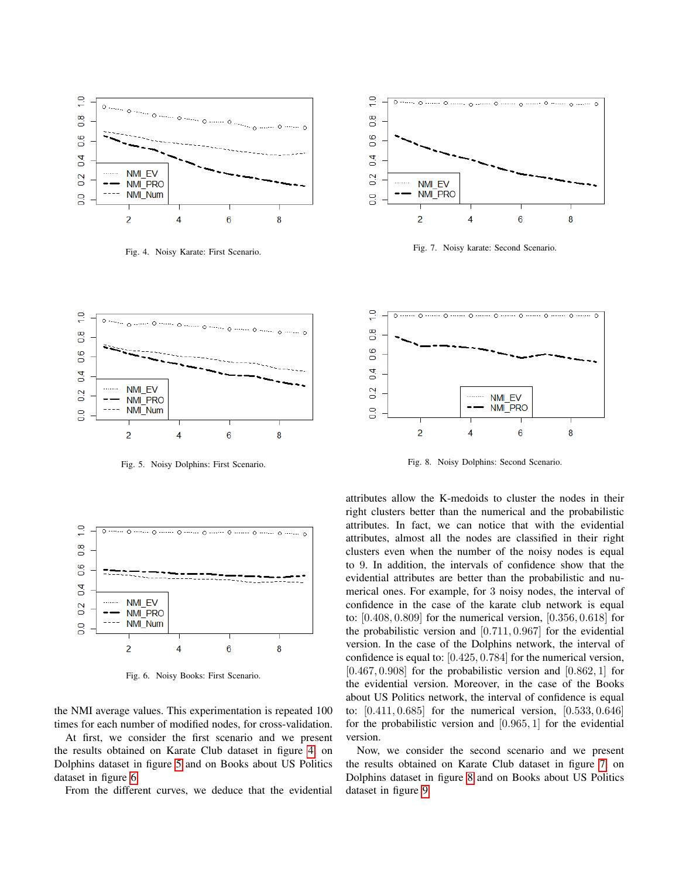

<span id="page-6-0"></span>Fig. 4. Noisy Karate: First Scenario.



<span id="page-6-1"></span>Fig. 5. Noisy Dolphins: First Scenario.



<span id="page-6-2"></span>Fig. 6. Noisy Books: First Scenario.

the NMI average values. This experimentation is repeated 100 times for each number of modified nodes, for cross-validation.

At first, we consider the first scenario and we present the results obtained on Karate Club dataset in figure [4,](#page-6-0) on Dolphins dataset in figure [5](#page-6-1) and on Books about US Politics dataset in figure [6.](#page-6-2)

From the different curves, we deduce that the evidential



<span id="page-6-3"></span>Fig. 7. Noisy karate: Second Scenario.



<span id="page-6-4"></span>Fig. 8. Noisy Dolphins: Second Scenario.

attributes allow the K-medoids to cluster the nodes in their right clusters better than the numerical and the probabilistic attributes. In fact, we can notice that with the evidential attributes, almost all the nodes are classified in their right clusters even when the number of the noisy nodes is equal to 9. In addition, the intervals of confidence show that the evidential attributes are better than the probabilistic and numerical ones. For example, for 3 noisy nodes, the interval of confidence in the case of the karate club network is equal to: [0.408, 0.809] for the numerical version, [0.356, 0.618] for the probabilistic version and [0.711, 0.967] for the evidential version. In the case of the Dolphins network, the interval of confidence is equal to: [0.425, 0.784] for the numerical version,  $[0.467, 0.908]$  for the probabilistic version and  $[0.862, 1]$  for the evidential version. Moreover, in the case of the Books about US Politics network, the interval of confidence is equal to:  $[0.411, 0.685]$  for the numerical version,  $[0.533, 0.646]$ for the probabilistic version and [0.965, 1] for the evidential version.

Now, we consider the second scenario and we present the results obtained on Karate Club dataset in figure [7,](#page-6-3) on Dolphins dataset in figure [8](#page-6-4) and on Books about US Politics dataset in figure [9.](#page-7-25)